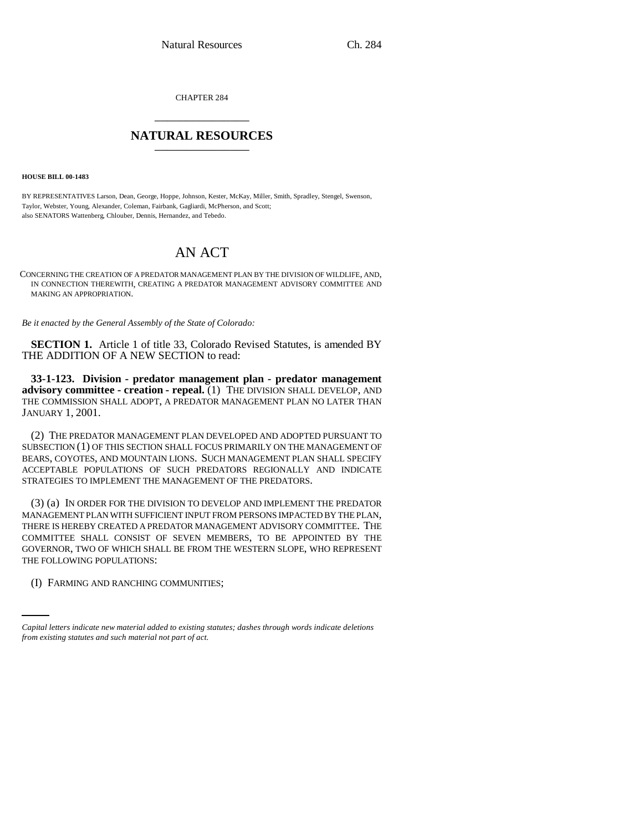CHAPTER 284 \_\_\_\_\_\_\_\_\_\_\_\_\_\_\_

## **NATURAL RESOURCES** \_\_\_\_\_\_\_\_\_\_\_\_\_\_\_

**HOUSE BILL 00-1483** 

BY REPRESENTATIVES Larson, Dean, George, Hoppe, Johnson, Kester, McKay, Miller, Smith, Spradley, Stengel, Swenson, Taylor, Webster, Young, Alexander, Coleman, Fairbank, Gagliardi, McPherson, and Scott; also SENATORS Wattenberg, Chlouber, Dennis, Hernandez, and Tebedo.

## AN ACT

CONCERNING THE CREATION OF A PREDATOR MANAGEMENT PLAN BY THE DIVISION OF WILDLIFE, AND, IN CONNECTION THEREWITH, CREATING A PREDATOR MANAGEMENT ADVISORY COMMITTEE AND MAKING AN APPROPRIATION.

*Be it enacted by the General Assembly of the State of Colorado:*

**SECTION 1.** Article 1 of title 33, Colorado Revised Statutes, is amended BY THE ADDITION OF A NEW SECTION to read:

**33-1-123. Division - predator management plan - predator management advisory committee - creation - repeal.** (1) THE DIVISION SHALL DEVELOP, AND THE COMMISSION SHALL ADOPT, A PREDATOR MANAGEMENT PLAN NO LATER THAN JANUARY 1, 2001.

(2) THE PREDATOR MANAGEMENT PLAN DEVELOPED AND ADOPTED PURSUANT TO SUBSECTION (1) OF THIS SECTION SHALL FOCUS PRIMARILY ON THE MANAGEMENT OF BEARS, COYOTES, AND MOUNTAIN LIONS. SUCH MANAGEMENT PLAN SHALL SPECIFY ACCEPTABLE POPULATIONS OF SUCH PREDATORS REGIONALLY AND INDICATE STRATEGIES TO IMPLEMENT THE MANAGEMENT OF THE PREDATORS.

THE FOLLOWING POPULATIONS: (3) (a) IN ORDER FOR THE DIVISION TO DEVELOP AND IMPLEMENT THE PREDATOR MANAGEMENT PLAN WITH SUFFICIENT INPUT FROM PERSONS IMPACTED BY THE PLAN, THERE IS HEREBY CREATED A PREDATOR MANAGEMENT ADVISORY COMMITTEE. THE COMMITTEE SHALL CONSIST OF SEVEN MEMBERS, TO BE APPOINTED BY THE GOVERNOR, TWO OF WHICH SHALL BE FROM THE WESTERN SLOPE, WHO REPRESENT

(I) FARMING AND RANCHING COMMUNITIES;

*Capital letters indicate new material added to existing statutes; dashes through words indicate deletions from existing statutes and such material not part of act.*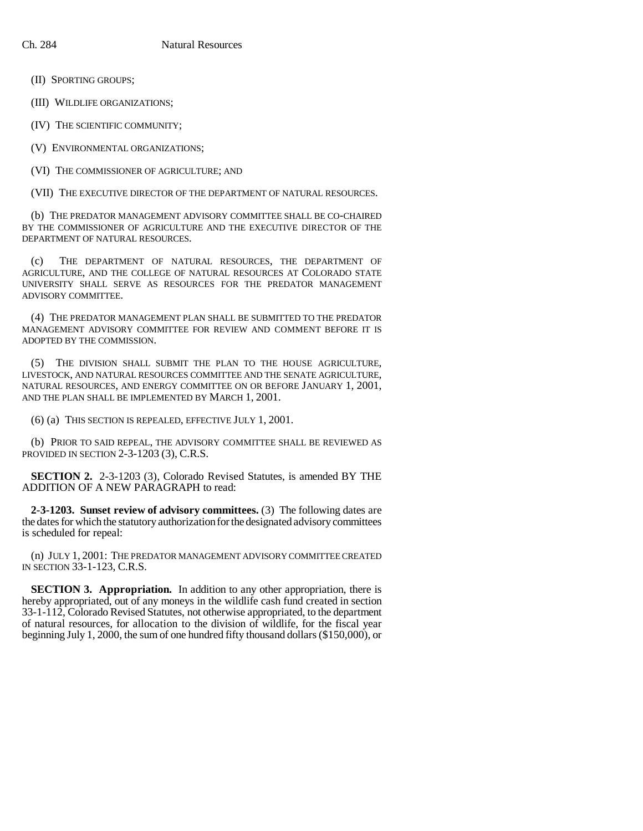(II) SPORTING GROUPS;

(III) WILDLIFE ORGANIZATIONS;

(IV) THE SCIENTIFIC COMMUNITY;

(V) ENVIRONMENTAL ORGANIZATIONS;

(VI) THE COMMISSIONER OF AGRICULTURE; AND

(VII) THE EXECUTIVE DIRECTOR OF THE DEPARTMENT OF NATURAL RESOURCES.

(b) THE PREDATOR MANAGEMENT ADVISORY COMMITTEE SHALL BE CO-CHAIRED BY THE COMMISSIONER OF AGRICULTURE AND THE EXECUTIVE DIRECTOR OF THE DEPARTMENT OF NATURAL RESOURCES.

(c) THE DEPARTMENT OF NATURAL RESOURCES, THE DEPARTMENT OF AGRICULTURE, AND THE COLLEGE OF NATURAL RESOURCES AT COLORADO STATE UNIVERSITY SHALL SERVE AS RESOURCES FOR THE PREDATOR MANAGEMENT ADVISORY COMMITTEE.

(4) THE PREDATOR MANAGEMENT PLAN SHALL BE SUBMITTED TO THE PREDATOR MANAGEMENT ADVISORY COMMITTEE FOR REVIEW AND COMMENT BEFORE IT IS ADOPTED BY THE COMMISSION.

(5) THE DIVISION SHALL SUBMIT THE PLAN TO THE HOUSE AGRICULTURE, LIVESTOCK, AND NATURAL RESOURCES COMMITTEE AND THE SENATE AGRICULTURE, NATURAL RESOURCES, AND ENERGY COMMITTEE ON OR BEFORE JANUARY 1, 2001, AND THE PLAN SHALL BE IMPLEMENTED BY MARCH 1, 2001.

(6) (a) THIS SECTION IS REPEALED, EFFECTIVE JULY 1, 2001.

(b) PRIOR TO SAID REPEAL, THE ADVISORY COMMITTEE SHALL BE REVIEWED AS PROVIDED IN SECTION 2-3-1203 (3), C.R.S.

**SECTION 2.** 2-3-1203 (3), Colorado Revised Statutes, is amended BY THE ADDITION OF A NEW PARAGRAPH to read:

**2-3-1203. Sunset review of advisory committees.** (3) The following dates are the dates for which the statutory authorization for the designated advisory committees is scheduled for repeal:

(n) JULY 1, 2001: THE PREDATOR MANAGEMENT ADVISORY COMMITTEE CREATED IN SECTION 33-1-123, C.R.S.

**SECTION 3. Appropriation.** In addition to any other appropriation, there is hereby appropriated, out of any moneys in the wildlife cash fund created in section 33-1-112, Colorado Revised Statutes, not otherwise appropriated, to the department of natural resources, for allocation to the division of wildlife, for the fiscal year beginning July 1, 2000, the sum of one hundred fifty thousand dollars (\$150,000), or